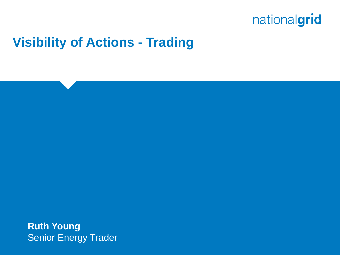#### **Visibility of Actions - Trading**

**Ruth Young Senior Energy Trader**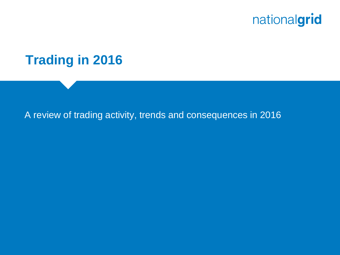

#### **Trading in 2016**

#### A review of trading activity, trends and consequences in 2016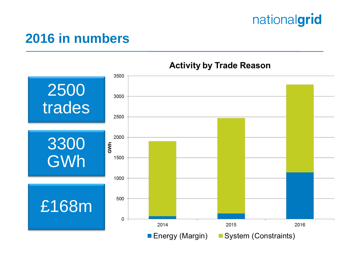#### **2016 in numbers**



#### **Activity by Trade Reason**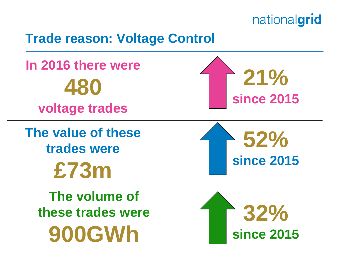#### **Trade reason: Voltage Control**

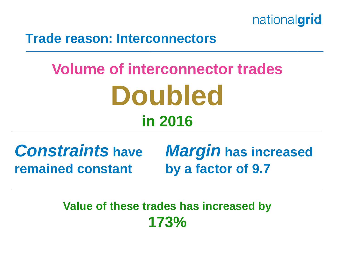

#### **Trade reason: Interconnectors**

# **Volume of interconnector trades Doubled in 2016**

**remained constant**

*Constraints* **have**  *Margin* **has increased by a factor of 9.7**

> **Value of these trades has increased by 173%**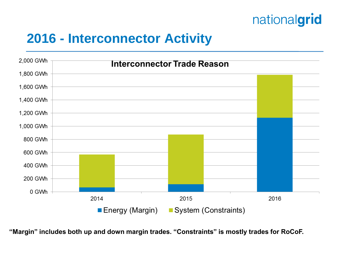#### **2016 - Interconnector Activity**



**"Margin" includes both up and down margin trades. "Constraints" is mostly trades for RoCoF.**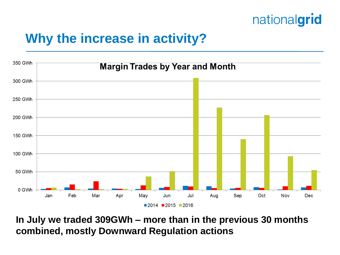#### **Why the increase in activity?**



**In July we traded 309GWh – more than in the previous 30 months combined, mostly Downward Regulation actions**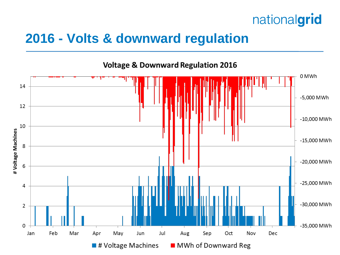

#### **2016 - Volts & downward regulation**



**Voltage & Downward Regulation 2016**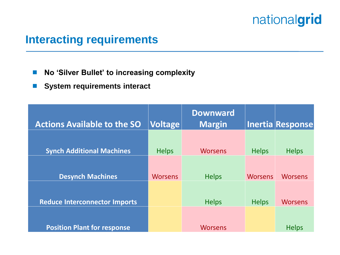#### **Interacting requirements**

- No 'Silver Bullet' to increasing complexity
- **System requirements interact**

| <b>Actions Available to the SO</b>   | <b>Voltage</b> | <b>Downward</b><br><b>Margin</b> |                | Inertia Response |
|--------------------------------------|----------------|----------------------------------|----------------|------------------|
| <b>Synch Additional Machines</b>     | <b>Helps</b>   | <b>Worsens</b>                   | <b>Helps</b>   | <b>Helps</b>     |
| <b>Desynch Machines</b>              | <b>Worsens</b> | <b>Helps</b>                     | <b>Worsens</b> | <b>Worsens</b>   |
| <b>Reduce Interconnector Imports</b> |                | <b>Helps</b>                     | <b>Helps</b>   | <b>Worsens</b>   |
| <b>Position Plant for response</b>   |                | <b>Worsens</b>                   |                | <b>Helps</b>     |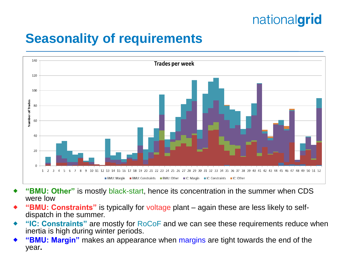#### **Seasonality of requirements**



- **"BMU: Other"** is mostly black-start, hence its concentration in the summer when CDS were low
- **"BMU: Constraints"** is typically for voltage plant again these are less likely to selfdispatch in the summer.
- **"IC: Constraints"** are mostly for RoCoF and we can see these requirements reduce when inertia is high during winter periods.
- **"BMU: Margin"** makes an appearance when margins are tight towards the end of the year**.**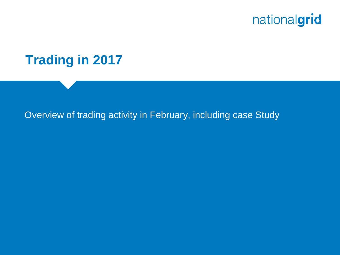

#### **Trading in 2017**

#### Overview of trading activity in February, including case Study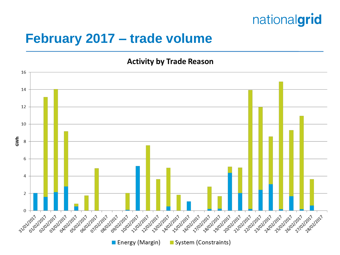#### **February 2017 – trade volume**

**Activity by Trade Reason** 

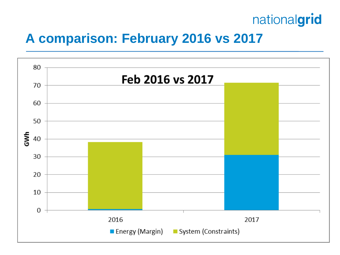#### **A comparison: February 2016 vs 2017**

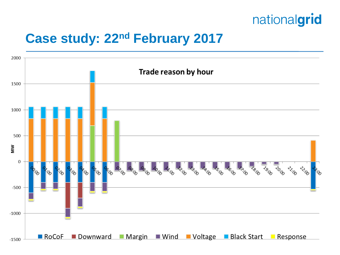

#### **Case study: 22nd February 2017**

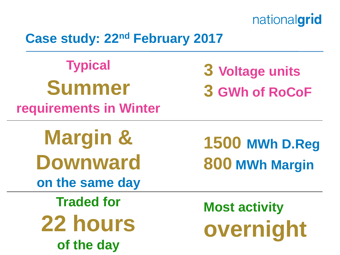#### **Case study: 22nd February 2017**

**Typical Summer requirements in Winter**

**3 Voltage units**

**3 GWh of RoCoF**

**Margin & Downward on the same day**

**Traded for 22 hours of the day**

**1500 MWh D.Reg 800 MWh Margin**

**Most activity overnight**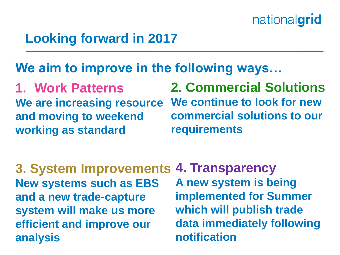#### **Looking forward in 2017**

#### **We aim to improve in the following ways…**

**1. Work Patterns We are increasing resource and moving to weekend working as standard**

**2. Commercial Solutions We continue to look for new commercial solutions to our requirements**

**3. System Improvements New systems such as EBS and a new trade-capture system will make us more efficient and improve our analysis 4. Transparency A new system is being implemented for Summer which will publish trade data immediately following notification**